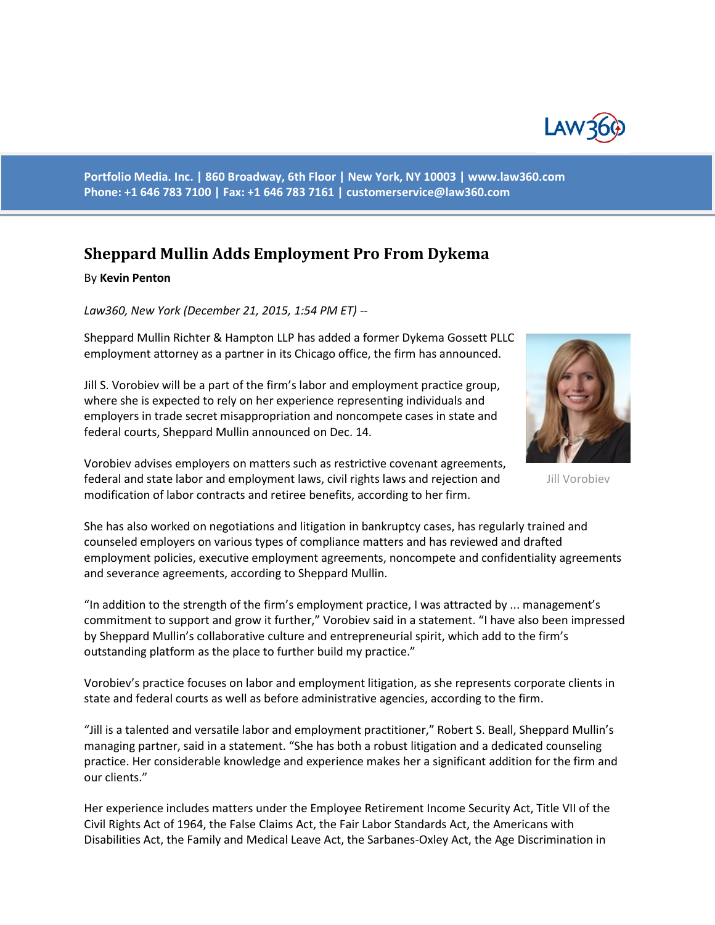

**Portfolio Media. Inc. | 860 Broadway, 6th Floor | New York, NY 10003 | www.law360.com Phone: +1 646 783 7100 | Fax: +1 646 783 7161 | [customerservice@law360.com](mailto:customerservice@law360.com)**

## **Sheppard Mullin Adds Employment Pro From Dykema**

## By **Kevin Penton**

*Law360, New York (December 21, 2015, 1:54 PM ET) --*

Sheppard Mullin Richter & Hampton LLP has added a former Dykema Gossett PLLC employment attorney as a partner in its Chicago office, the firm has announced.

Jill S. Vorobiev will be a part of the firm's labor and employment practice group, where she is expected to rely on her experience representing individuals and employers in trade secret misappropriation and noncompete cases in state and federal courts, Sheppard Mullin announced on Dec. 14.



Jill Vorobiev

Vorobiev advises employers on matters such as restrictive covenant agreements, federal and state labor and employment laws, civil rights laws and rejection and modification of labor contracts and retiree benefits, according to her firm.

She has also worked on negotiations and litigation in bankruptcy cases, has regularly trained and counseled employers on various types of compliance matters and has reviewed and drafted employment policies, executive employment agreements, noncompete and confidentiality agreements and severance agreements, according to Sheppard Mullin.

"In addition to the strength of the firm's employment practice, I was attracted by ... management's commitment to support and grow it further," Vorobiev said in a statement. "I have also been impressed by Sheppard Mullin's collaborative culture and entrepreneurial spirit, which add to the firm's outstanding platform as the place to further build my practice."

Vorobiev's practice focuses on labor and employment litigation, as she represents corporate clients in state and federal courts as well as before administrative agencies, according to the firm.

"Jill is a talented and versatile labor and employment practitioner," Robert S. Beall, Sheppard Mullin's managing partner, said in a statement. "She has both a robust litigation and a dedicated counseling practice. Her considerable knowledge and experience makes her a significant addition for the firm and our clients."

Her experience includes matters under the Employee Retirement Income Security Act, Title VII of the Civil Rights Act of 1964, the False Claims Act, the Fair Labor Standards Act, the Americans with Disabilities Act, the Family and Medical Leave Act, the Sarbanes-Oxley Act, the Age Discrimination in